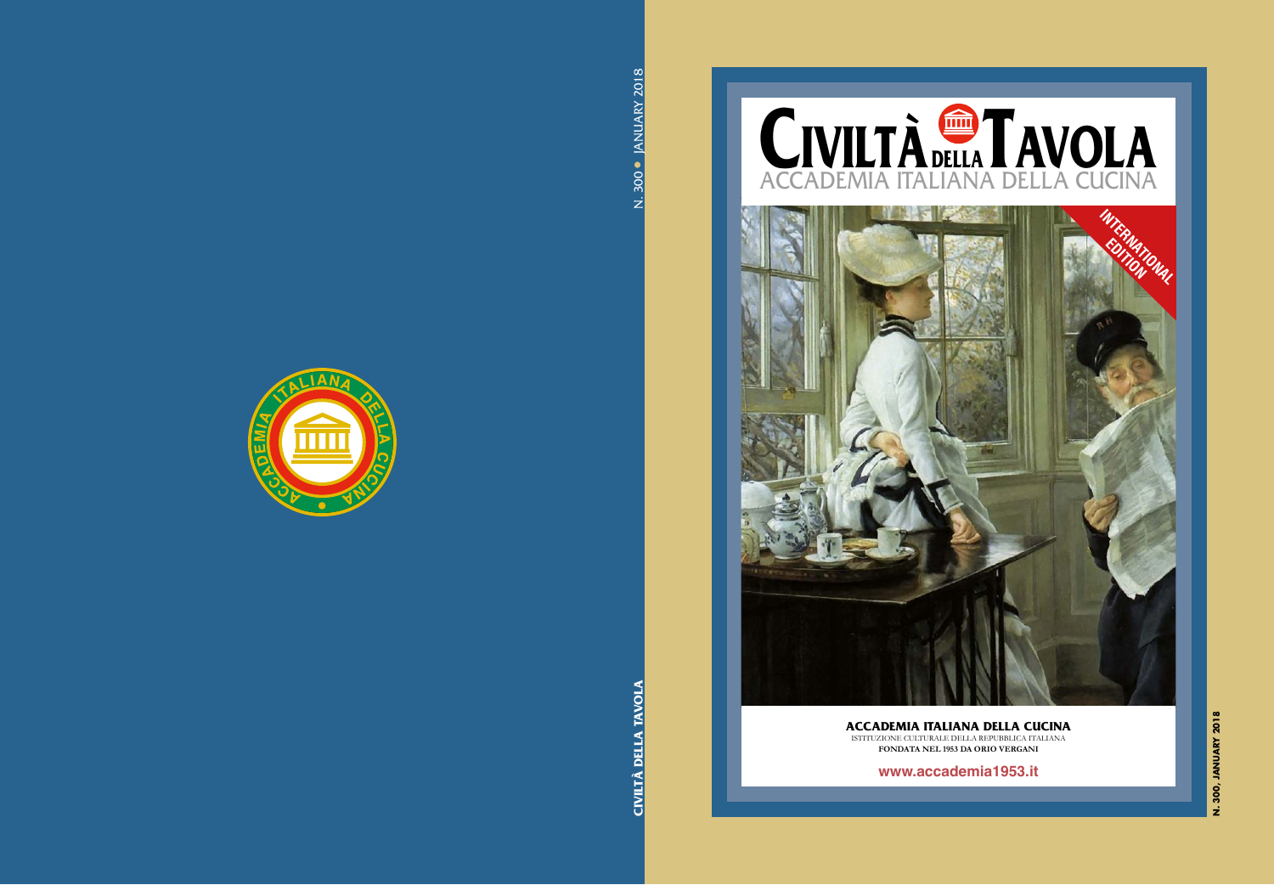

## **ACCADEMIA ITALIANA DELLA CUCINA** ISTITUZIONE CULTURALE DELLA REPUBBLICA ITALIANA

FONDATA NEL 1953 DA ORIO VERGANI

www.accademia1953.it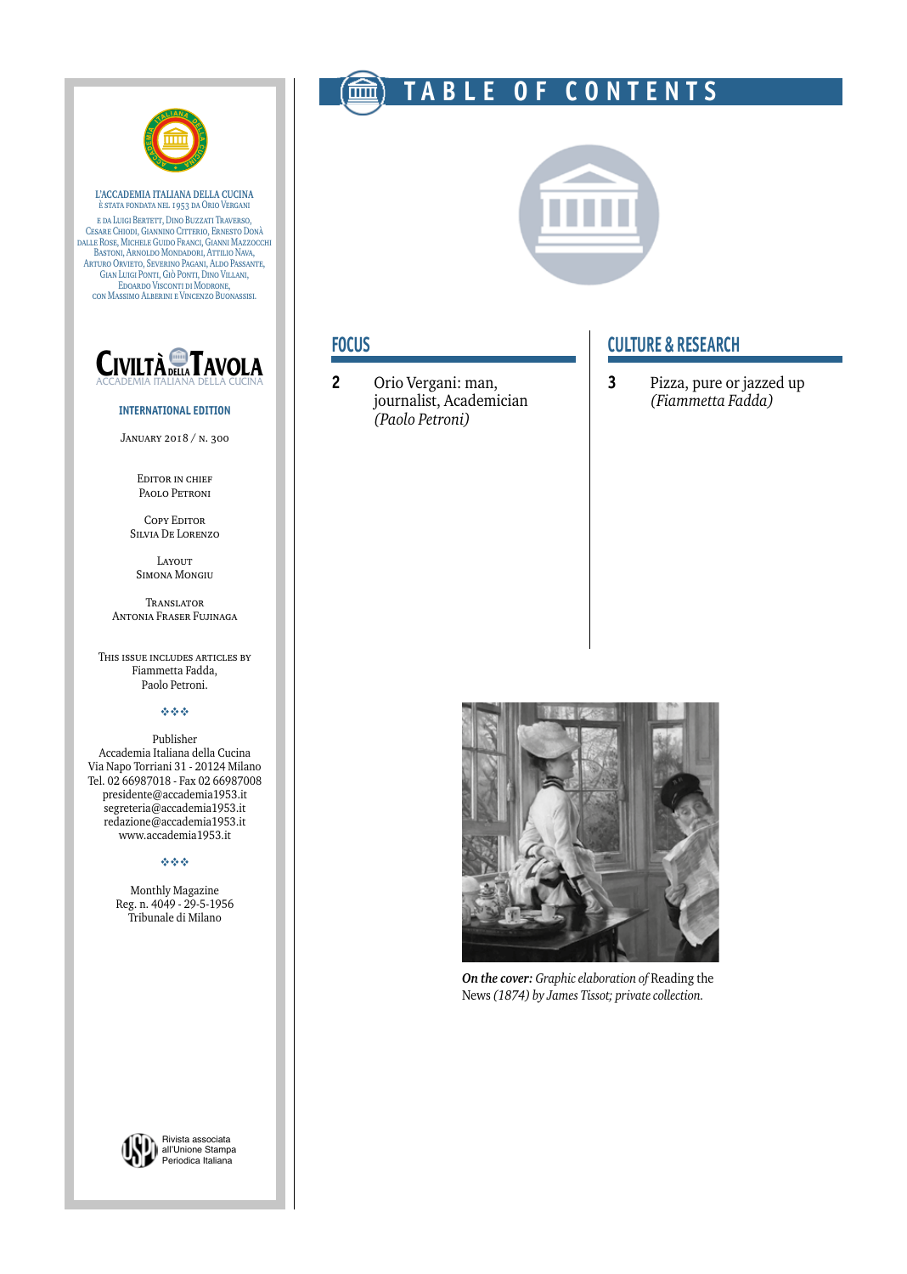

**L'ACCADEMIA ITALIANA DELLA CUCINA** è stata fondata nel 1953 da Orio Vergani e da Luigi Bertett, Dino Buzzati Traverso, Cesare Chiodi, Giannino Citterio, Ernesto Donà dalle Rose, Michele Guido Franci, Gianni Mazzocchi Bastoni, Arnoldo Mondadori, Attilio Nava, Arturo Orvieto, Severino Pagani, Aldo Passante, Gian Luigi Ponti, Giò Ponti, Dino Villani, Edoardo Visconti di Modrone, con Massimo Alberini e Vincenzo Buonassisi.



#### **INTERNATIONAL EDITION**

January 2018 / n. 300

EDITOR IN CHIEF Paolo Petroni

**COPY EDITOR** Silvia De Lorenzo Layout

Simona Mongiu

Translator Antonia Fraser Fujinaga

This issue includes articles by Fiammetta Fadda, Paolo Petroni.

#### vvv

Publisher Accademia Italiana della Cucina Via Napo Torriani 31 - 20124 Milano Tel. 02 66987018 - Fax 02 66987008 presidente@accademia1953.it segreteria@accademia1953.it redazione@accademia1953.it www.accademia1953.it

#### vvv

Monthly Magazine Reg. n. 4049 - 29-5-1956 Tribunale di Milano



Rivista associata all'Unione Stampa Periodica Italiana

# **TABLE OF CONTENTS**



## **FOCUS**

**2** Orio Vergani: man, journalist, Academician *(Paolo Petroni)*

## **CULTURE & RESEARCH**

**3** Pizza, pure or jazzed up *(Fiammetta Fadda)*



*On the cover: Graphic elaboration of* Reading the News *(1874) by James Tissot; private collection.*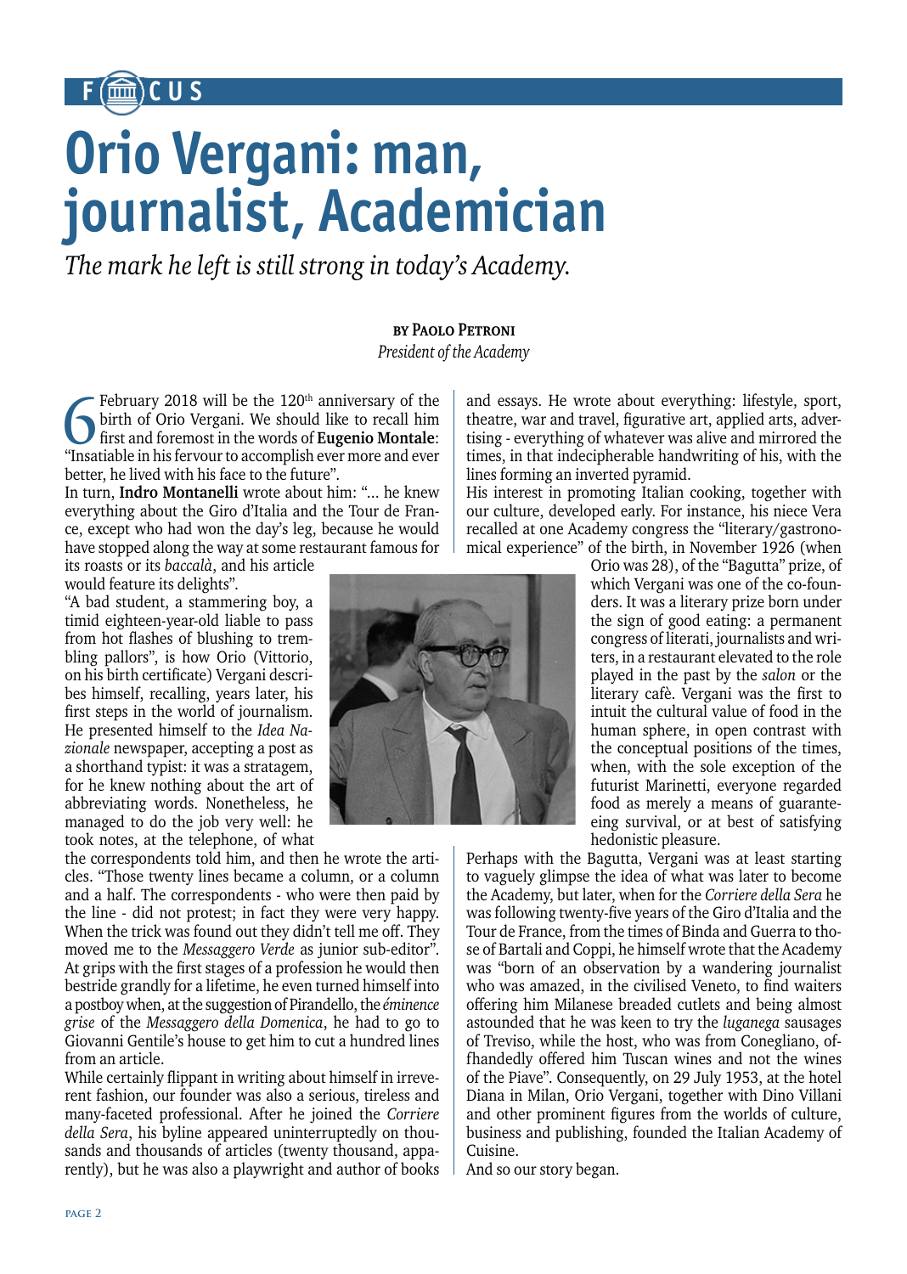# **F CUS**

# **Orio Vergani: man, journalist, Academician**

*The mark he left is still strong in today's Academy.*

# **by Paolo Petroni**

*President of the Academy*

February 2018 will be the 120<sup>th</sup> anniversary of the birth of Orio Vergani. We should like to recall him first and foremost in the words of **Eugenio Montale**: "Insatiable in his fervour to accomplish ever more and ever better, he lived with his face to the future".

In turn, **Indro Montanelli** wrote about him: "... he knew everything about the Giro d'Italia and the Tour de France, except who had won the day's leg, because he would have stopped along the way at some restaurant famous for

its roasts or its *baccalà*, and his article would feature its delights".

"A bad student, a stammering boy, a timid eighteen-year-old liable to pass from hot flashes of blushing to trembling pallors", is how Orio (Vittorio, on his birth certificate) Vergani describes himself, recalling, years later, his first steps in the world of journalism. He presented himself to the *Idea Nazionale* newspaper, accepting a post as a shorthand typist: it was a stratagem, for he knew nothing about the art of abbreviating words. Nonetheless, he managed to do the job very well: he took notes, at the telephone, of what

the correspondents told him, and then he wrote the articles. "Those twenty lines became a column, or a column and a half. The correspondents - who were then paid by the line - did not protest; in fact they were very happy. When the trick was found out they didn't tell me off. They moved me to the *Messaggero Verde* as junior sub-editor". At grips with the first stages of a profession he would then bestride grandly for a lifetime, he even turned himself into a postboy when, at the suggestion of Pirandello, the *éminence grise* of the *Messaggero della Domenica*, he had to go to Giovanni Gentile's house to get him to cut a hundred lines from an article.

*"The School of Athens" by Raphael* sands and thousands of articles (twenty thousand, appa-While certainly flippant in writing about himself in irreverent fashion, our founder was also a serious, tireless and many-faceted professional. After he joined the *Corriere della Sera*, his byline appeared uninterruptedly on thourently), but he was also a playwright and author of books and essays. He wrote about everything: lifestyle, sport, theatre, war and travel, figurative art, applied arts, advertising - everything of whatever was alive and mirrored the times, in that indecipherable handwriting of his, with the lines forming an inverted pyramid.

His interest in promoting Italian cooking, together with our culture, developed early. For instance, his niece Vera recalled at one Academy congress the "literary/gastronomical experience" of the birth, in November 1926 (when



Orio was 28), of the "Bagutta" prize, of which Vergani was one of the co-founders. It was a literary prize born under the sign of good eating: a permanent congress of literati, journalists and writers, in a restaurant elevated to the role played in the past by the *salon* or the literary cafè. Vergani was the first to intuit the cultural value of food in the human sphere, in open contrast with the conceptual positions of the times, when, with the sole exception of the futurist Marinetti, everyone regarded food as merely a means of guaranteeing survival, or at best of satisfying hedonistic pleasure.

Perhaps with the Bagutta, Vergani was at least starting to vaguely glimpse the idea of what was later to become the Academy, but later, when for the *Corriere della Sera* he was following twenty-five years of the Giro d'Italia and the Tour de France, from the times of Binda and Guerra to those of Bartali and Coppi, he himself wrote that the Academy was "born of an observation by a wandering journalist who was amazed, in the civilised Veneto, to find waiters offering him Milanese breaded cutlets and being almost astounded that he was keen to try the *luganega* sausages of Treviso, while the host, who was from Conegliano, offhandedly offered him Tuscan wines and not the wines of the Piave". Consequently, on 29 July 1953, at the hotel Diana in Milan, Orio Vergani, together with Dino Villani and other prominent figures from the worlds of culture, business and publishing, founded the Italian Academy of Cuisine.

And so our story began.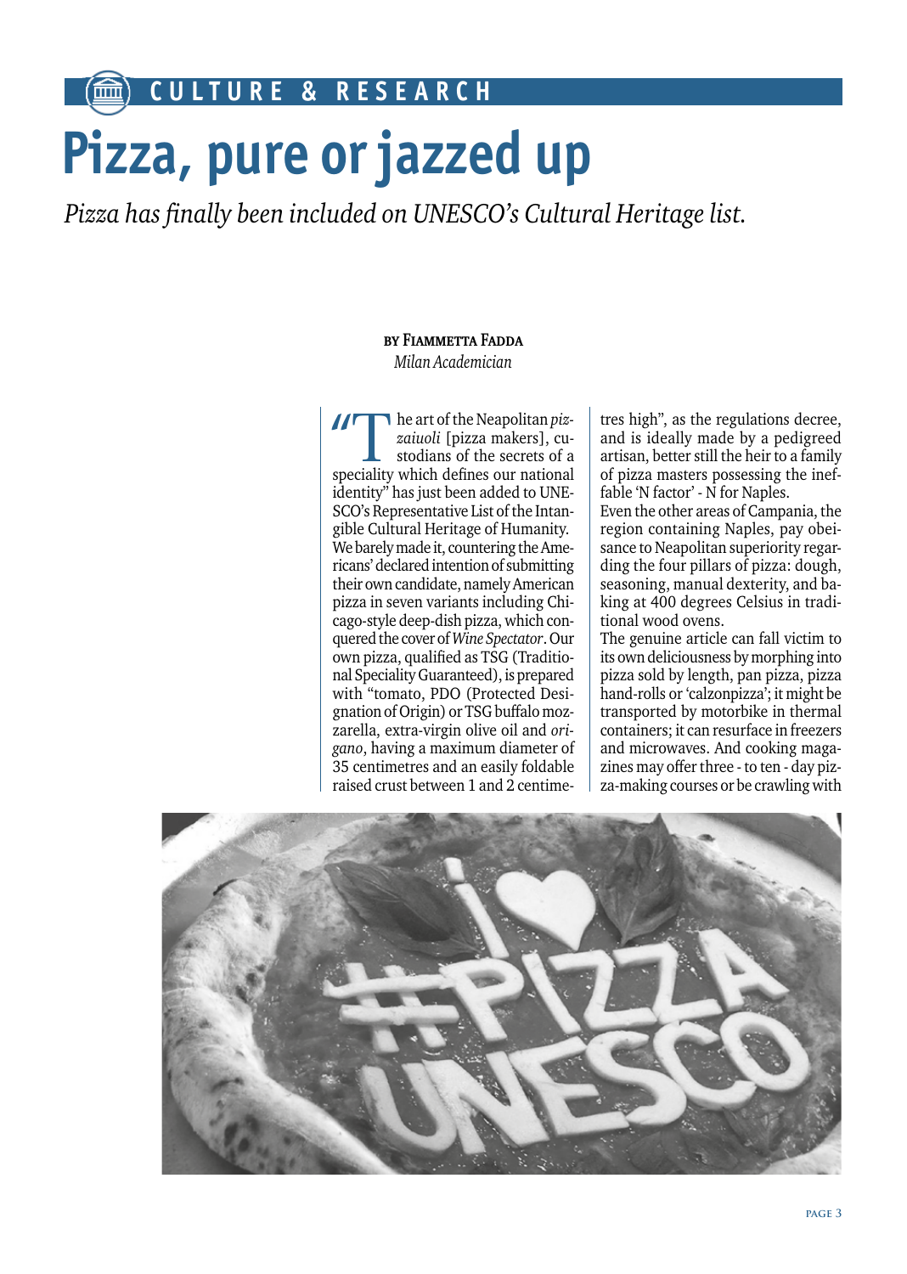**CULTURE & RESEARCH**

# **Pizza, pure or jazzed up**

*Pizza has finally been included on UNESCO's Cultural Heritage list.*

## **by Fiammetta Fadda** *Milan Academician*

The art of the Neapolitan *pizzaiuoli* [pizza makers], custodians of the secrets of a speciality which defines our national identity" has just been added to UNE-SCO's Representative List of the Intangible Cultural Heritage of Humanity. We barely made it, countering the Americans' declared intention of submitting their own candidate, namely American pizza in seven variants including Chicago-style deep-dish pizza, which conquered the cover of *Wine Spectator*. Our own pizza, qualified as TSG (Traditional Speciality Guaranteed), is prepared with "tomato, PDO (Protected Designation of Origin) or TSG buffalo mozzarella, extra-virgin olive oil and *origano*, having a maximum diameter of 35 centimetres and an easily foldable raised crust between 1 and 2 centimetres high", as the regulations decree, and is ideally made by a pedigreed artisan, better still the heir to a family of pizza masters possessing the ineffable 'N factor' - N for Naples.

Even the other areas of Campania, the region containing Naples, pay obeisance to Neapolitan superiority regarding the four pillars of pizza: dough, seasoning, manual dexterity, and baking at 400 degrees Celsius in traditional wood ovens.

The genuine article can fall victim to its own deliciousness by morphing into pizza sold by length, pan pizza, pizza hand-rolls or 'calzonpizza'; it might be transported by motorbike in thermal containers; it can resurface in freezers and microwaves. And cooking magazines may offer three - to ten - day pizza-making courses or be crawling with